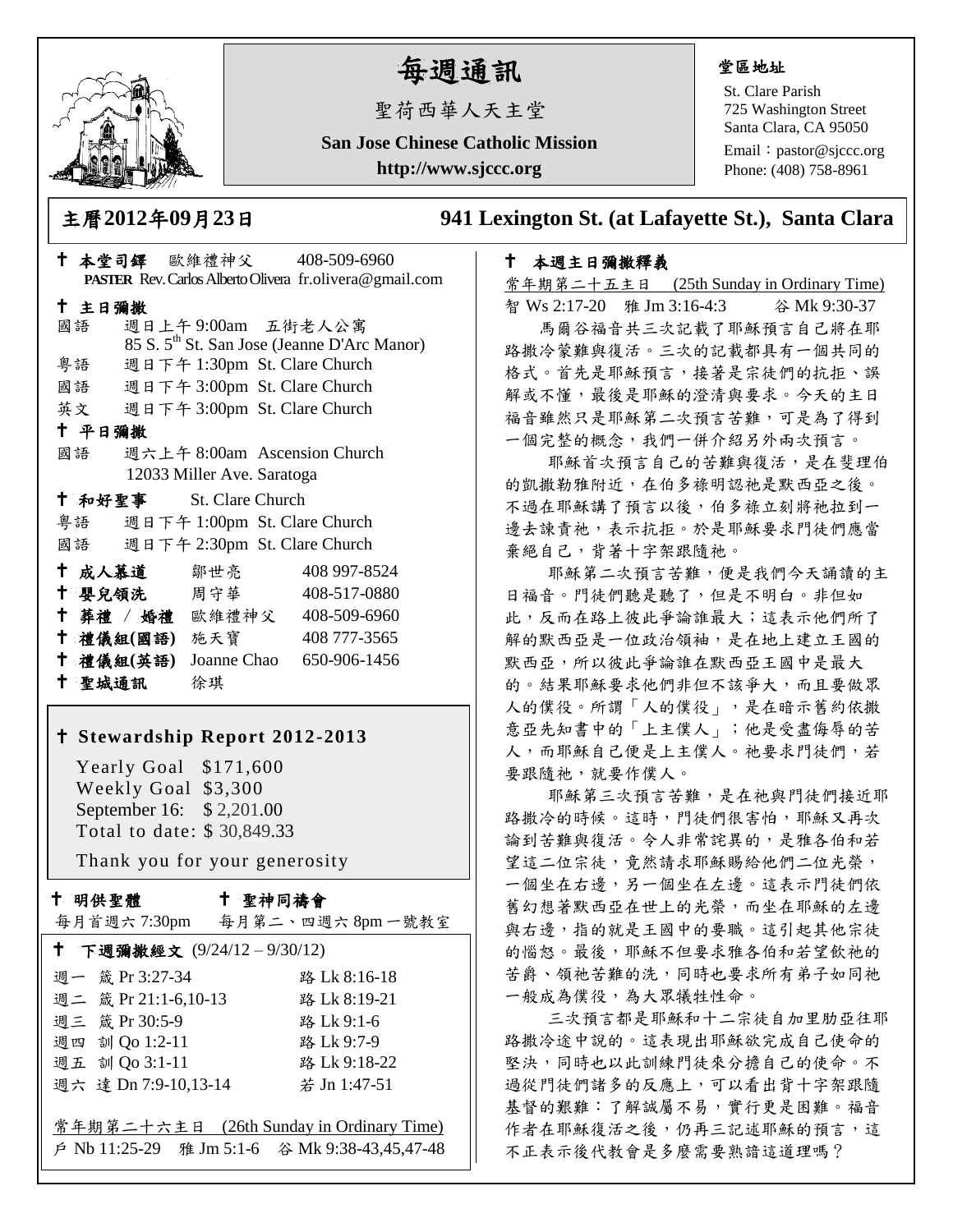

# 每週通訊

聖荷西華人天主堂

**San Jose Chinese Catholic Mission http://www.sjccc.org**

#### 堂區地址

St. Clare Parish 725 Washington Street Santa Clara, CA 95050

Email: [pastor@sjccc.org](mailto:pastor@sjccc.org) Phone: (408) 758-8961

主曆**2012**年**09**月**23**日 **941 Lexington St. (at Lafayette St.), Santa Clara** 

### 本週主日彌撒釋義

常年期第二十五主日 (25th Sunday in Ordinary Time) 智 Ws 2:17-20 雅 Jm 3:16-4:3 谷 Mk 9:30-37 馬爾谷福音共三次記載了耶穌預言自己將在耶 路撒冷蒙難與復活。三次的記載都具有一個共同的 格式。首先是耶穌預言,接著是宗徒們的抗拒、誤 解或不懂,最後是耶穌的澄清與要求。今天的主日 福音雖然只是耶穌第二次預言苦難,可是為了得到 一個完整的概念,我們一併介紹另外兩次預言。

 耶穌首次預言自己的苦難與復活,是在斐理伯 的凱撒勒雅附近,在伯多祿明認祂是默西亞之後。 不過在耶穌講了預言以後,伯多祿立刻將祂拉到一 邊去諫責祂,表示抗拒。於是耶穌要求門徒們應當 棄絕自己,背著十字架跟隨祂。

 耶穌第二次預言苦難,便是我們今天誦讀的主 日福音。門徒們聽是聽了,但是不明白。非但如 此,反而在路上彼此爭論誰最大;這表示他們所了 解的默西亞是一位政治領袖,是在地上建立王國的 默西亞,所以彼此爭論誰在默西亞王國中是最大 的。結果耶穌要求他們非但不該爭大,而且要做眾 人的僕役。所謂「人的僕役」,是在暗示舊約依撒 意亞先知書中的「上主僕人」;他是受盡侮辱的苦 人,而耶穌自己便是上主僕人。祂要求門徒們,若 要跟隨祂,就要作僕人。

 耶穌第三次預言苦難,是在祂與門徒們接近耶 路撒冷的時候。這時,門徒們很害怕,耶穌又再次 論到苦難與復活。令人非常詫異的,是雅各伯和若 望這二位宗徒,竟然請求耶穌賜給他們二位光榮, 一個坐在右邊,另一個坐在左邊。這表示門徒們依 舊幻想著默西亞在世上的光榮,而坐在耶穌的左邊 與右邊,指的就是王國中的要職。這引起其他宗徒 的惱怒。最後,耶穌不但要求雅各伯和若望飲祂的 苦爵、領祂苦難的洗,同時也要求所有弟子如同祂 一般成為僕役,為大眾犧牲性命。

 三次預言都是耶穌和十二宗徒自加里肋亞往耶 路撒冷途中說的。這表現出耶穌欲完成自己使命的 堅決,同時也以此訓練門徒來分擔自己的使命。不 過從門徒們諸多的反應上,可以看出背十字架跟隨 基督的艱難:了解誠屬不易,實行更是困難。福音 作者在耶穌復活之後,仍再三記述耶穌的預言,這 不正表示後代教會是多麼需要熟諳這道理嗎?

|        |        |  |                                              | † 本堂司鐸 歐維禮神父     408-509-6960                           |  |
|--------|--------|--|----------------------------------------------|---------------------------------------------------------|--|
|        |        |  |                                              | PASTER Rev. Carlos Alberto Olivera fr.olivera@gmail.com |  |
|        | 十 主日彌撒 |  |                                              |                                                         |  |
|        | 國語     |  |                                              | 週日上午9:00am 五街老人公寓                                       |  |
|        |        |  |                                              | 85 S. 5 <sup>th</sup> St. San Jose (Jeanne D'Arc Manor) |  |
|        | 粤語     |  |                                              | 週日下午 1:30pm St. Clare Church                            |  |
|        |        |  |                                              | 國語 週日下午 3:00pm St. Clare Church                         |  |
|        |        |  |                                              | 英文 週日下午 3:00pm St. Clare Church                         |  |
| 十 平日彌撒 |        |  |                                              |                                                         |  |
|        |        |  |                                              | 國語 週六上午 8:00am Ascension Church                         |  |
|        |        |  | 12033 Miller Ave. Saratoga                   |                                                         |  |
|        |        |  | † 和好聖事 St. Clare Church                      |                                                         |  |
|        |        |  |                                              | 粤語 週日下午 1:00pm St. Clare Church                         |  |
|        |        |  |                                              | 國語 週日下午 2:30pm St. Clare Church                         |  |
|        |        |  | † 成人慕道   鄒世亮                                 | 408 997-8524                                            |  |
|        |        |  |                                              | † 嬰兒領洗 周守華 408-517-0880                                 |  |
|        |        |  |                                              | ↑ 葬禮 / 婚禮 歐維禮神父 408-509-6960                            |  |
|        |        |  |                                              | <sup>†</sup> 禮儀組(國語) 施天寶 408777-3565                    |  |
|        |        |  |                                              | † 禮儀組(英語) Joanne Chao 650-906-1456                      |  |
|        |        |  | 十 聖城通訊 徐琪                                    |                                                         |  |
|        |        |  |                                              |                                                         |  |
|        |        |  |                                              | † Stewardship Report 2012-2013                          |  |
|        |        |  | Yearly Goal \$171,600<br>Weekly Goal \$3.300 |                                                         |  |

 Weekly Goal \$3,300 September 16: \$ 2,201.00 Total to date: \$ 30,849.33

Thank you for your generosity

#### 十 明供聖體

#### 聖神同禱會

|                            | 每月首週六7:30pm 每月第二、四週六8pm一號教室              |  |  |  |  |  |
|----------------------------|------------------------------------------|--|--|--|--|--|
| ↑ 下週彌撒經文 (9/24/12-9/30/12) |                                          |  |  |  |  |  |
| 週一 箴 Pr 3:27-34            | 路 Lk 8:16-18                             |  |  |  |  |  |
| 週二 箴 Pr 21:1-6,10-13       | 路 Lk 8:19-21                             |  |  |  |  |  |
| 週三 箴 Pr 30:5-9             | 路 Lk 9:1-6                               |  |  |  |  |  |
| 週四 訓 Qo 1:2-11             | 路 Lk 9:7-9                               |  |  |  |  |  |
| 週五 訓 Qo 3:1-11             | 路 Lk 9:18-22                             |  |  |  |  |  |
| 週六 達 Dn 7:9-10,13-14       | 若 Jn 1:47-51                             |  |  |  |  |  |
|                            |                                          |  |  |  |  |  |
|                            | 常年期第二十六主日 (26th Sunday in Ordinary Time) |  |  |  |  |  |
|                            |                                          |  |  |  |  |  |